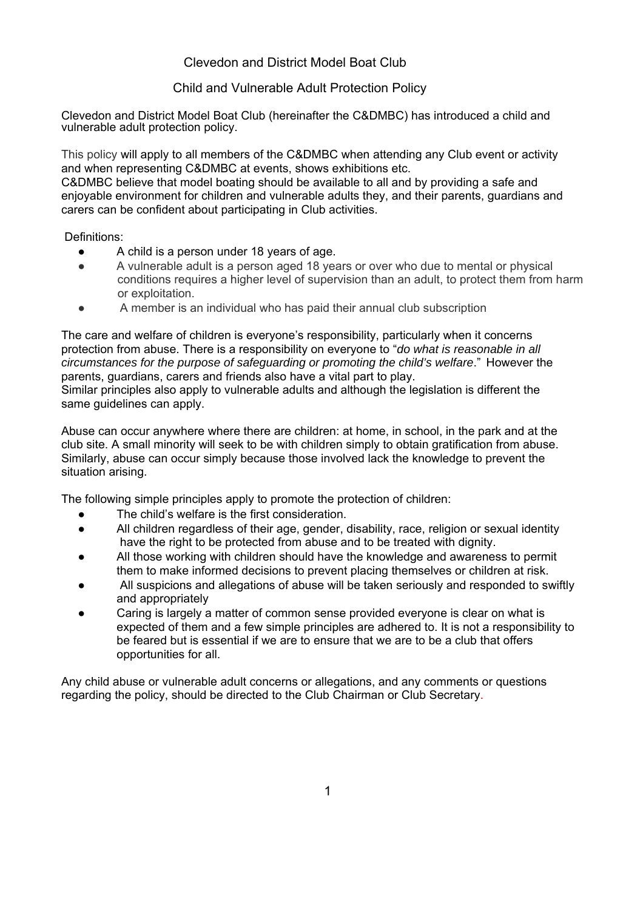### Clevedon and District Model Boat Club

### Child and Vulnerable Adult Protection Policy

Clevedon and District Model Boat Club (hereinafter the C&DMBC) has introduced a child and vulnerable adult protection policy.

This policy will apply to all members of the C&DMBC when attending any Club event or activity and when representing C&DMBC at events, shows exhibitions etc.

C&DMBC believe that model boating should be available to all and by providing a safe and enjoyable environment for children and vulnerable adults they, and their parents, guardians and carers can be confident about participating in Club activities.

Definitions:

- A child is a person under 18 years of age.
- A vulnerable adult is a person aged 18 years or over who due to mental or physical conditions requires a higher level of supervision than an adult, to protect them from harm or exploitation.
- A member is an individual who has paid their annual club subscription

The care and welfare of children is everyone's responsibility, particularly when it concerns protection from abuse. There is a responsibility on everyone to "*do what is reasonable in all circumstances for the purpose of safeguarding or promoting the child's welfare*." However the parents, guardians, carers and friends also have a vital part to play.

Similar principles also apply to vulnerable adults and although the legislation is different the same guidelines can apply.

Abuse can occur anywhere where there are children: at home, in school, in the park and at the club site. A small minority will seek to be with children simply to obtain gratification from abuse. Similarly, abuse can occur simply because those involved lack the knowledge to prevent the situation arising.

The following simple principles apply to promote the protection of children:

- The child's welfare is the first consideration.
- All children regardless of their age, gender, disability, race, religion or sexual identity have the right to be protected from abuse and to be treated with dignity.
- All those working with children should have the knowledge and awareness to permit them to make informed decisions to prevent placing themselves or children at risk.
- All suspicions and allegations of abuse will be taken seriously and responded to swiftly and appropriately
- Caring is largely a matter of common sense provided everyone is clear on what is expected of them and a few simple principles are adhered to. It is not a responsibility to be feared but is essential if we are to ensure that we are to be a club that offers opportunities for all.

Any child abuse or vulnerable adult concerns or allegations, and any comments or questions regarding the policy, should be directed to the Club Chairman or Club Secretary.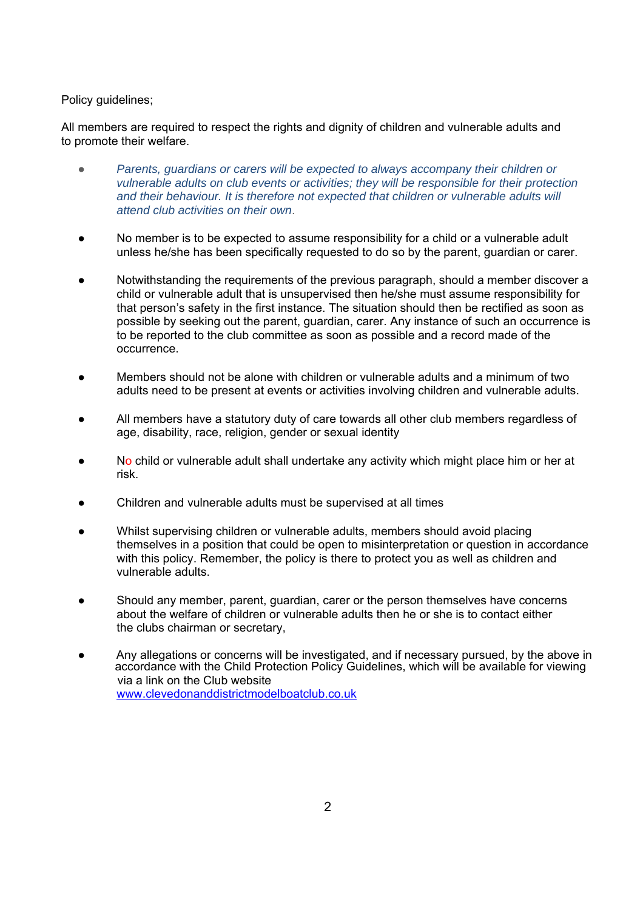Policy guidelines;

All members are required to respect the rights and dignity of children and vulnerable adults and to promote their welfare.

- *Parents, guardians or carers will be expected to always accompany their children or vulnerable adults on club events or activities; they will be responsible for their protection*  and their behaviour. It is therefore not expected that children or vulnerable adults will *attend club activities on their own*.
- No member is to be expected to assume responsibility for a child or a vulnerable adult unless he/she has been specifically requested to do so by the parent, guardian or carer.
- Notwithstanding the requirements of the previous paragraph, should a member discover a child or vulnerable adult that is unsupervised then he/she must assume responsibility for that person's safety in the first instance. The situation should then be rectified as soon as possible by seeking out the parent, guardian, carer. Any instance of such an occurrence is to be reported to the club committee as soon as possible and a record made of the occurrence.
- Members should not be alone with children or vulnerable adults and a minimum of two adults need to be present at events or activities involving children and vulnerable adults.
- All members have a statutory duty of care towards all other club members regardless of age, disability, race, religion, gender or sexual identity
- No child or vulnerable adult shall undertake any activity which might place him or her at risk.
- Children and vulnerable adults must be supervised at all times
- Whilst supervising children or vulnerable adults, members should avoid placing themselves in a position that could be open to misinterpretation or question in accordance with this policy. Remember, the policy is there to protect you as well as children and vulnerable adults.
- Should any member, parent, guardian, carer or the person themselves have concerns about the welfare of children or vulnerable adults then he or she is to contact either the clubs chairman or secretary,
- Any allegations or concerns will be investigated, and if necessary pursued, by the above in accordance with the Child Protection Policy Guidelines, which will be available for viewing via a link on the Club website www.clevedonanddistrictmodelboatclub.co.uk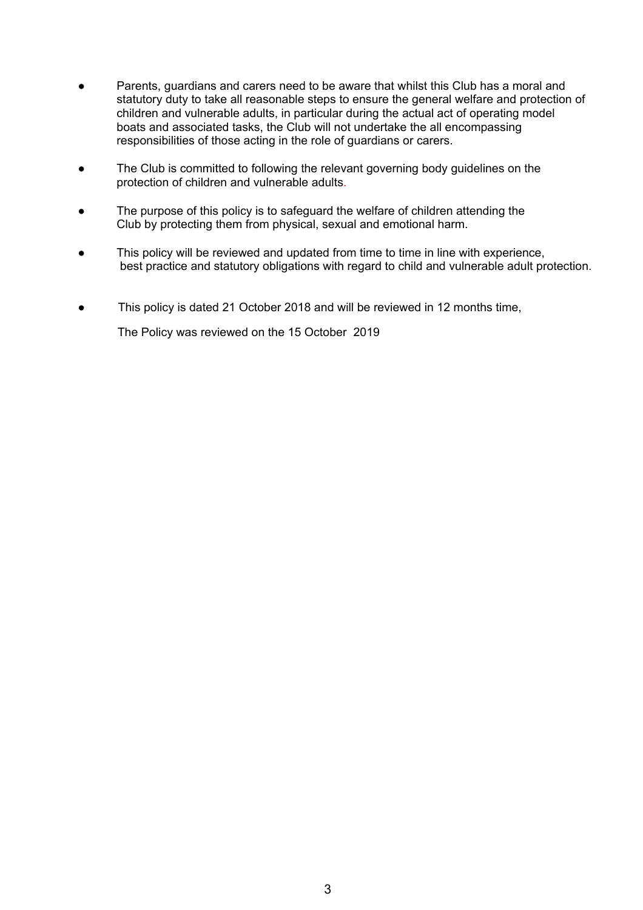- Parents, guardians and carers need to be aware that whilst this Club has a moral and statutory duty to take all reasonable steps to ensure the general welfare and protection of children and vulnerable adults, in particular during the actual act of operating model boats and associated tasks, the Club will not undertake the all encompassing responsibilities of those acting in the role of guardians or carers.
- The Club is committed to following the relevant governing body guidelines on the protection of children and vulnerable adults.
- The purpose of this policy is to safeguard the welfare of children attending the Club by protecting them from physical, sexual and emotional harm.
- This policy will be reviewed and updated from time to time in line with experience, best practice and statutory obligations with regard to child and vulnerable adult protection.
- This policy is dated 21 October 2018 and will be reviewed in 12 months time,

The Policy was reviewed on the 15 October 2019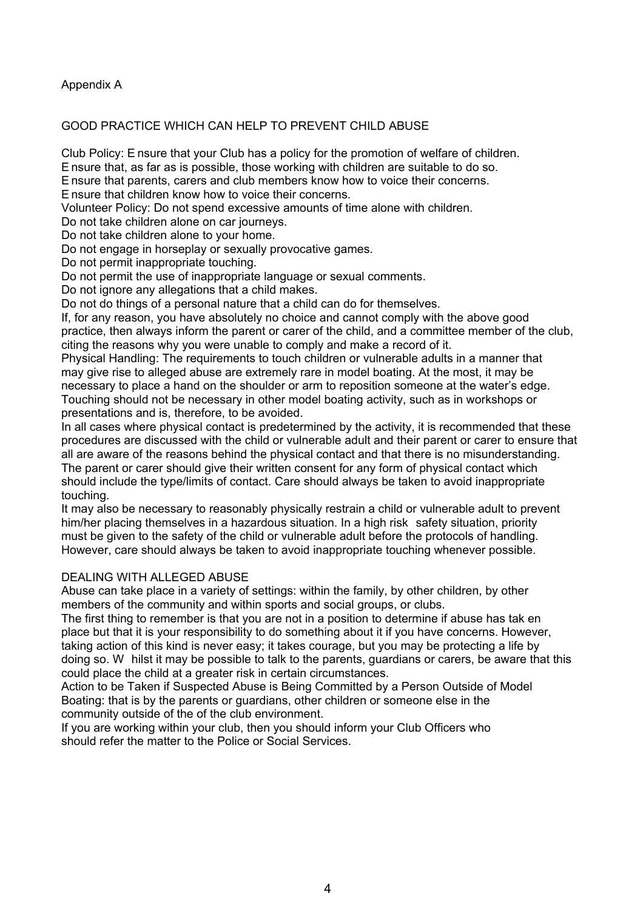Appendix A

### GOOD PRACTICE WHICH CAN HELP TO PREVENT CHILD ABUSE

Club Policy: E nsure that your Club has a policy for the promotion of welfare of children.

E nsure that, as far as is possible, those working with children are suitable to do so.

E nsure that parents, carers and club members know how to voice their concerns.

E nsure that children know how to voice their concerns.

Volunteer Policy: Do not spend excessive amounts of time alone with children.

Do not take children alone on car journeys.

Do not take children alone to your home.

Do not engage in horseplay or sexually provocative games.

Do not permit inappropriate touching.

Do not permit the use of inappropriate language or sexual comments.

Do not ignore any allegations that a child makes.

Do not do things of a personal nature that a child can do for themselves.

If, for any reason, you have absolutely no choice and cannot comply with the above good practice, then always inform the parent or carer of the child, and a committee member of the club, citing the reasons why you were unable to comply and make a record of it.

Physical Handling: The requirements to touch children or vulnerable adults in a manner that may give rise to alleged abuse are extremely rare in model boating. At the most, it may be necessary to place a hand on the shoulder or arm to reposition someone at the water's edge. Touching should not be necessary in other model boating activity, such as in workshops or presentations and is, therefore, to be avoided.

In all cases where physical contact is predetermined by the activity, it is recommended that these procedures are discussed with the child or vulnerable adult and their parent or carer to ensure that all are aware of the reasons behind the physical contact and that there is no misunderstanding. The parent or carer should give their written consent for any form of physical contact which should include the type/limits of contact. Care should always be taken to avoid inappropriate touching.

It may also be necessary to reasonably physically restrain a child or vulnerable adult to prevent him/her placing themselves in a hazardous situation. In a high risk safety situation, priority must be given to the safety of the child or vulnerable adult before the protocols of handling. However, care should always be taken to avoid inappropriate touching whenever possible.

#### DEALING WITH ALLEGED ABUSE

Abuse can take place in a variety of settings: within the family, by other children, by other members of the community and within sports and social groups, or clubs.

The first thing to remember is that you are not in a position to determine if abuse has tak en place but that it is your responsibility to do something about it if you have concerns. However, taking action of this kind is never easy; it takes courage, but you may be protecting a life by doing so. W hilst it may be possible to talk to the parents, guardians or carers, be aware that this could place the child at a greater risk in certain circumstances.

Action to be Taken if Suspected Abuse is Being Committed by a Person Outside of Model Boating: that is by the parents or guardians, other children or someone else in the community outside of the of the club environment.

If you are working within your club, then you should inform your Club Officers who should refer the matter to the Police or Social Services.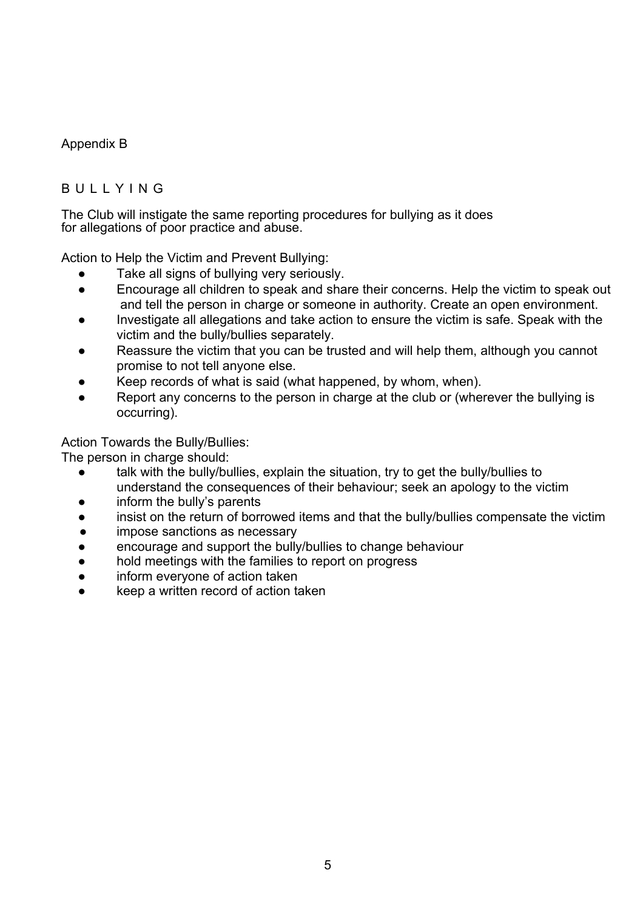## Appendix B

# BULLYING

The Club will instigate the same reporting procedures for bullying as it does for allegations of poor practice and abuse.

Action to Help the Victim and Prevent Bullying:

- Take all signs of bullying very seriously.
- Encourage all children to speak and share their concerns. Help the victim to speak out and tell the person in charge or someone in authority. Create an open environment.
- Investigate all allegations and take action to ensure the victim is safe. Speak with the victim and the bully/bullies separately.
- Reassure the victim that you can be trusted and will help them, although you cannot promise to not tell anyone else.
- Keep records of what is said (what happened, by whom, when).
- Report any concerns to the person in charge at the club or (wherever the bullying is occurring).

Action Towards the Bully/Bullies:

The person in charge should:

- talk with the bully/bullies, explain the situation, try to get the bully/bullies to understand the consequences of their behaviour; seek an apology to the victim
- inform the bully's parents
- insist on the return of borrowed items and that the bully/bullies compensate the victim
- impose sanctions as necessary
- encourage and support the bully/bullies to change behaviour
- hold meetings with the families to report on progress
- inform everyone of action taken
- keep a written record of action taken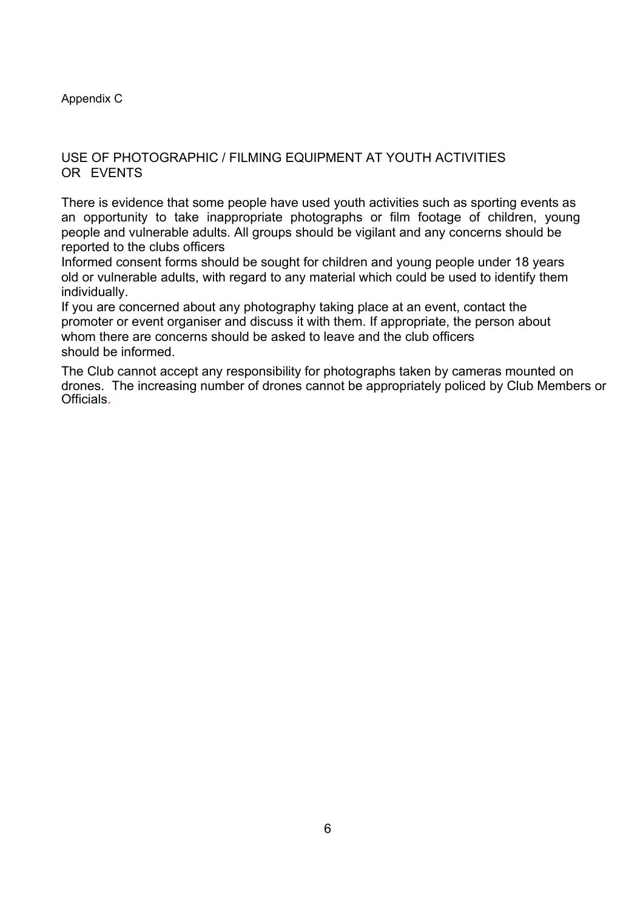### Appendix C

### USE OF PHOTOGRAPHIC / FILMING EQUIPMENT AT YOUTH ACTIVITIES OR EVENTS

There is evidence that some people have used youth activities such as sporting events as an opportunity to take inappropriate photographs or film footage of children, young people and vulnerable adults. All groups should be vigilant and any concerns should be reported to the clubs officers

Informed consent forms should be sought for children and young people under 18 years old or vulnerable adults, with regard to any material which could be used to identify them individually.

If you are concerned about any photography taking place at an event, contact the promoter or event organiser and discuss it with them. If appropriate, the person about whom there are concerns should be asked to leave and the club officers should be informed.

The Club cannot accept any responsibility for photographs taken by cameras mounted on drones. The increasing number of drones cannot be appropriately policed by Club Members or Officials.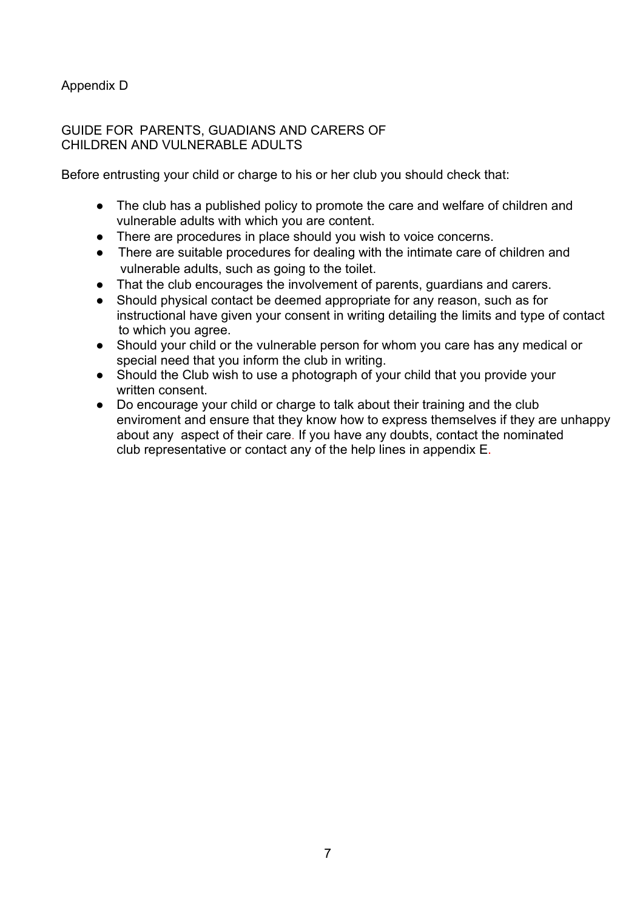## Appendix D

### GUIDE FOR PARENTS, GUADIANS AND CARERS OF CHILDREN AND VULNERABLE ADULTS

Before entrusting your child or charge to his or her club you should check that:

- The club has a published policy to promote the care and welfare of children and vulnerable adults with which you are content.
- There are procedures in place should you wish to voice concerns.
- There are suitable procedures for dealing with the intimate care of children and vulnerable adults, such as going to the toilet.
- That the club encourages the involvement of parents, guardians and carers.
- Should physical contact be deemed appropriate for any reason, such as for instructional have given your consent in writing detailing the limits and type of contact to which you agree.
- Should your child or the vulnerable person for whom you care has any medical or special need that you inform the club in writing.
- Should the Club wish to use a photograph of your child that you provide your written consent.
- Do encourage your child or charge to talk about their training and the club enviroment and ensure that they know how to express themselves if they are unhappy about any aspect of their care. If you have any doubts, contact the nominated club representative or contact any of the help lines in appendix E.